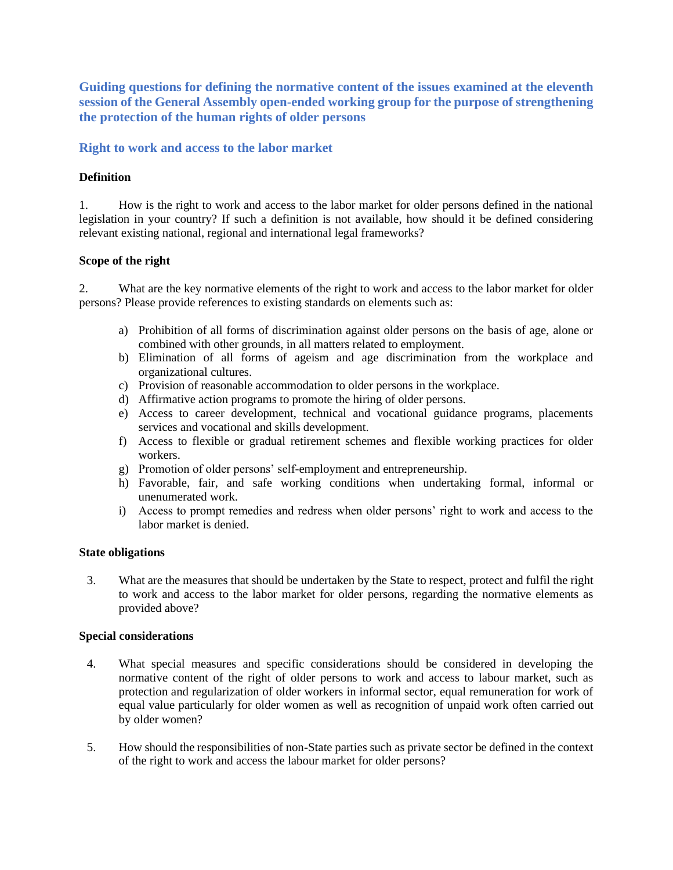**Guiding questions for defining the normative content of the issues examined at the eleventh session of the General Assembly open-ended working group for the purpose of strengthening the protection of the human rights of older persons**

### **Right to work and access to the labor market**

#### **Definition**

1. How is the right to work and access to the labor market for older persons defined in the national legislation in your country? If such a definition is not available, how should it be defined considering relevant existing national, regional and international legal frameworks?

#### **Scope of the right**

2. What are the key normative elements of the right to work and access to the labor market for older persons? Please provide references to existing standards on elements such as:

- a) Prohibition of all forms of discrimination against older persons on the basis of age, alone or combined with other grounds, in all matters related to employment.
- b) Elimination of all forms of ageism and age discrimination from the workplace and organizational cultures.
- c) Provision of reasonable accommodation to older persons in the workplace.
- d) Affirmative action programs to promote the hiring of older persons.
- e) Access to career development, technical and vocational guidance programs, placements services and vocational and skills development.
- f) Access to flexible or gradual retirement schemes and flexible working practices for older workers.
- g) Promotion of older persons' self-employment and entrepreneurship.
- h) Favorable, fair, and safe working conditions when undertaking formal, informal or unenumerated work.
- i) Access to prompt remedies and redress when older persons' right to work and access to the labor market is denied.

#### **State obligations**

3. What are the measures that should be undertaken by the State to respect, protect and fulfil the right to work and access to the labor market for older persons, regarding the normative elements as provided above?

#### **Special considerations**

- 4. What special measures and specific considerations should be considered in developing the normative content of the right of older persons to work and access to labour market, such as protection and regularization of older workers in informal sector, equal remuneration for work of equal value particularly for older women as well as recognition of unpaid work often carried out by older women?
- 5. How should the responsibilities of non-State parties such as private sector be defined in the context of the right to work and access the labour market for older persons?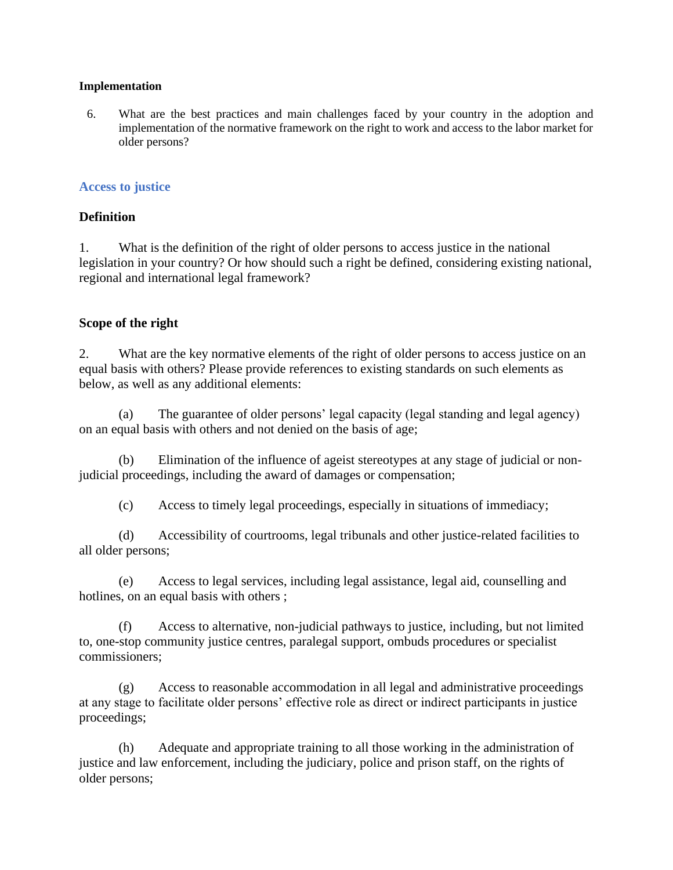### **Implementation**

6. What are the best practices and main challenges faced by your country in the adoption and implementation of the normative framework on the right to work and access to the labor market for older persons?

## **Access to justice**

## **Definition**

1. What is the definition of the right of older persons to access justice in the national legislation in your country? Or how should such a right be defined, considering existing national, regional and international legal framework?

## **Scope of the right**

2. What are the key normative elements of the right of older persons to access justice on an equal basis with others? Please provide references to existing standards on such elements as below, as well as any additional elements:

The guarantee of older persons' legal capacity (legal standing and legal agency) on an equal basis with others and not denied on the basis of age;

(b) Elimination of the influence of ageist stereotypes at any stage of judicial or nonjudicial proceedings, including the award of damages or compensation;

(c) Access to timely legal proceedings, especially in situations of immediacy;

(d) Accessibility of courtrooms, legal tribunals and other justice-related facilities to all older persons;

(e) Access to legal services, including legal assistance, legal aid, counselling and hotlines, on an equal basis with others ;

(f) Access to alternative, non-judicial pathways to justice, including, but not limited to, one-stop community justice centres, paralegal support, ombuds procedures or specialist commissioners;

(g) Access to reasonable accommodation in all legal and administrative proceedings at any stage to facilitate older persons' effective role as direct or indirect participants in justice proceedings;

(h) Adequate and appropriate training to all those working in the administration of justice and law enforcement, including the judiciary, police and prison staff, on the rights of older persons;